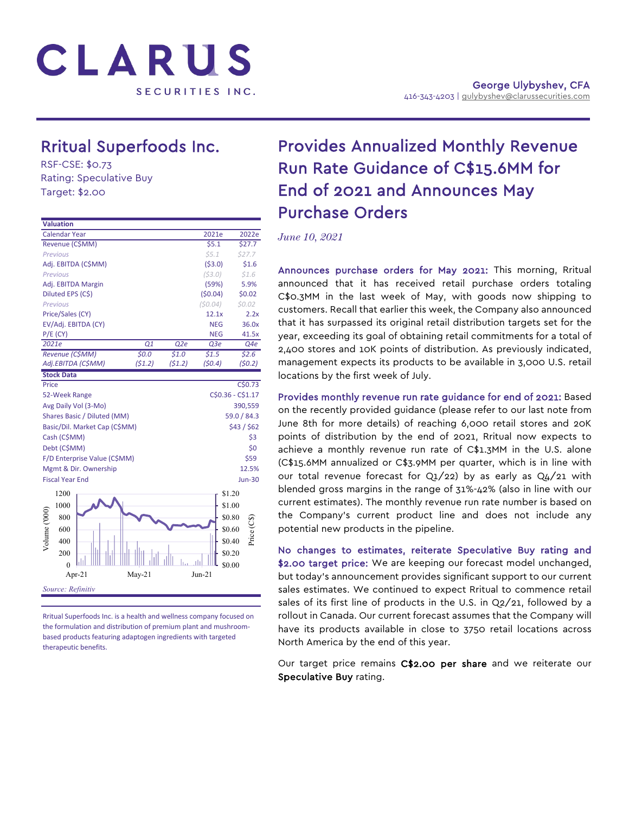

# Rritual Superfoods Inc.<br>RSF-CSE: \$0.73

Rating: Speculative Buy Target: \$2.00

| <b>Valuation</b>              |                               |        |          |                 |            |                     |  |  |
|-------------------------------|-------------------------------|--------|----------|-----------------|------------|---------------------|--|--|
| <b>Calendar Year</b>          |                               |        |          |                 | 2021e      | 2022e               |  |  |
|                               | Revenue (C\$MM)               |        |          |                 | \$5.1      | \$27.7              |  |  |
| Previous                      |                               |        |          |                 | 55.1       | \$27.7              |  |  |
|                               | Adj. EBITDA (C\$MM)           |        |          |                 | ( \$3.0)   | \$1.6               |  |  |
| Previous                      |                               |        |          |                 | (53.0)     | \$1.6               |  |  |
|                               | Adj. EBITDA Margin            |        |          |                 | (59%)      | 5.9%                |  |  |
|                               | Diluted EPS (C\$)             |        |          |                 | (50.04)    | \$0.02              |  |  |
| <b>Previous</b>               |                               |        |          |                 | (50.04)    | \$0.02\$            |  |  |
| Price/Sales (CY)              |                               |        |          |                 | 12.1x      | 2.2x                |  |  |
|                               | EV/Adj. EBITDA (CY)           |        |          |                 | <b>NEG</b> | 36.0x               |  |  |
| $P/E$ (CY)                    |                               |        |          |                 | <b>NEG</b> | 41.5x               |  |  |
| 2021e                         |                               |        | Q1       | Q <sub>2e</sub> | Q3e        | Q4e                 |  |  |
|                               | Revenue (C\$MM)               |        | 50.0     | \$1.0           | \$1.5      | \$2.6\$             |  |  |
|                               | Adj.EBITDA (C\$MM)            |        | (51.2)   | (51.2)          | (50.4)     | (50.2)              |  |  |
| <b>Stock Data</b>             |                               |        |          |                 |            |                     |  |  |
| Price                         |                               |        |          |                 |            | C\$0.73             |  |  |
| 52-Week Range                 |                               |        |          |                 |            | C\$0.36 - C\$1.17   |  |  |
|                               | Avg Daily Vol (3-Mo)          |        |          |                 |            | 390,559             |  |  |
|                               | Shares Basic / Diluted (MM)   |        |          |                 |            | 59.0 / 84.3         |  |  |
|                               | Basic/Dil. Market Cap (C\$MM) |        |          |                 |            | \$43 / \$62         |  |  |
| Cash (C\$MM)                  |                               |        |          |                 |            | \$3                 |  |  |
| Debt (C\$MM)                  |                               |        |          |                 |            | \$0                 |  |  |
|                               | F/D Enterprise Value (C\$MM)  |        |          |                 |            | \$59                |  |  |
|                               | Mgmt & Dir. Ownership         |        |          |                 |            | 12.5%               |  |  |
| <b>Fiscal Year End</b>        |                               |        |          |                 |            | <b>Jun-30</b>       |  |  |
| 1200                          |                               |        |          |                 |            | \$1.20              |  |  |
| 1000                          |                               |        |          |                 |            | \$1.00              |  |  |
|                               |                               |        |          |                 |            |                     |  |  |
| 800                           |                               |        |          |                 |            | \$0.80<br>Price (CS |  |  |
| 600                           |                               | \$0.60 |          |                 |            |                     |  |  |
| Volume ('000<br>400<br>\$0.40 |                               |        |          |                 |            |                     |  |  |
| 200                           |                               |        |          |                 |            | \$0.20              |  |  |
|                               | $\theta$                      |        |          |                 |            | \$0.00              |  |  |
|                               | Apr-21                        |        | $May-21$ |                 | $Jun-21$   |                     |  |  |
|                               | Source: Refinitiv             |        |          |                 |            |                     |  |  |
|                               |                               |        |          |                 |            |                     |  |  |

Rritual Superfoods Inc. is a health and wellness company focused on the formulation and distribution of premium plant and mushroombased products featuring adaptogen ingredients with targeted therapeutic benefits.

## Provides Annualized Monthly Revenue Run Rate Guidance of C\$15.6MM for End of 2021 and Announces May Purchase Orders

*June 10, 2021*

Announces purchase orders for May 2021: This morning, Rritual announced that it has received retail purchase orders totaling C\$0.3MM in the last week of May, with goods now shipping to customers. Recall that earlier this week, the Company also announced that it has surpassed its original retail distribution targets set for the year, exceeding its goal of obtaining retail commitments for a total of 2,400 stores and 10K points of distribution. As previously indicated, management expects its products to be available in 3,000 U.S. retail locations by the first week of July.

Provides monthly revenue run rate guidance for end of 2021: Based on the recently provided guidance (please refer to our last note from June 8th for more details) of reaching 6,000 retail stores and 20K points of distribution by the end of 2021, Rritual now expects to achieve a monthly revenue run rate of C\$1.3MM in the U.S. alone (C\$15.6MM annualized or C\$3.9MM per quarter, which is in line with our total revenue forecast for Q1/22) by as early as Q4/21 with blended gross margins in the range of 31%-42% (also in line with our current estimates). The monthly revenue run rate number is based on the Company's current product line and does not include any potential new products in the pipeline.

No changes to estimates, reiterate Speculative Buy rating and \$2.00 target price: We are keeping our forecast model unchanged, but today's announcement provides significant support to our current sales estimates. We continued to expect Rritual to commence retail sales of its first line of products in the U.S. in Q2/21, followed by a rollout in Canada. Our current forecast assumes that the Company will have its products available in close to 3750 retail locations across North America by the end of this year.

Our target price remains C\$2.00 per share and we reiterate our Speculative Buy rating.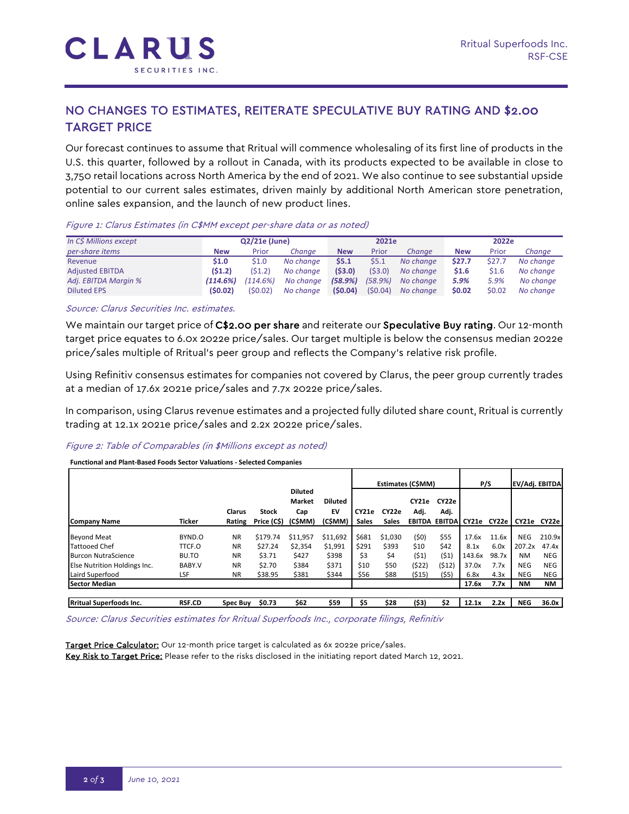### NO CHANGES TO ESTIMATES, REITERATE SPECULATIVE BUY RATING AND \$2.00 TARGET PRICE

Our forecast continues to assume that Rritual will commence wholesaling of its first line of products in the U.S. this quarter, followed by a rollout in Canada, with its products expected to be available in close to 3,750 retail locations across North America by the end of 2021. We also continue to see substantial upside potential to our current sales estimates, driven mainly by additional North American store penetration, online sales expansion, and the launch of new product lines.

| In C\$ Millions except | $Q2/21e$ (June) |          |           | 2021e      |         |           | 2022e      |        |           |  |
|------------------------|-----------------|----------|-----------|------------|---------|-----------|------------|--------|-----------|--|
| per-share items        | <b>New</b>      | Prior    | Chanae    | <b>New</b> | Prior   | Chanae    | <b>New</b> | Prior  | Chanae    |  |
| Revenue                | \$1.0           | \$1.0    | No change | \$5.1      | 55.1    | No change | \$27.7     | \$27.7 | No change |  |
| <b>Adiusted EBITDA</b> | (51.2)          | (51.2)   | No change | (53.0)     | (53.0)  | No change | \$1.6      | \$1.6  | No change |  |
| Adj. EBITDA Margin %   | (114.6%)        | (114.6%) | No change | (58.9%)    | (58.9%) | No change | 5.9%       | 5.9%   | No change |  |
| <b>Diluted EPS</b>     | (50.02)         | (50.02)  | No change | (50.04)    | (50.04) | No change | \$0.02     | \$0.02 | No change |  |

#### Figure 1: Clarus Estimates (in C\$MM except per-share data or as noted)

#### Source: Clarus Securities Inc. estimates.

We maintain our target price of C\$2.00 per share and reiterate our Speculative Buy rating. Our 12-month target price equates to 6.0x 2022e price/sales. Our target multiple is below the consensus median 2022e price/sales multiple of Rritual's peer group and reflects the Company's relative risk profile.

Using Refinitiv consensus estimates for companies not covered by Clarus, the peer group currently trades at a median of 17.6x 2021e price/sales and 7.7x 2022e price/sales.

In comparison, using Clarus revenue estimates and a projected fully diluted share count, Rritual is currently trading at 12.1x 2021e price/sales and 2.2x 2022e price/sales.

#### Figure 2: Table of Comparables (in \$Millions except as noted)

#### **Functional and Plant-Based Foods Sector Valuations - Selected Companies**

|                                |               |                         |                             |                                                   |                                 | Estimates (C\$MM)     |                       |               | P/S                                   |        | EV/Adj. EBITDA |            |            |
|--------------------------------|---------------|-------------------------|-----------------------------|---------------------------------------------------|---------------------------------|-----------------------|-----------------------|---------------|---------------------------------------|--------|----------------|------------|------------|
| Company Name                   | <b>Ticker</b> | <b>Clarus</b><br>Rating | <b>Stock</b><br>Price (C\$) | <b>Diluted</b><br><b>Market</b><br>Cap<br>(C\$MM) | <b>Diluted</b><br>EV<br>(C\$MM) | CY21e<br><b>Sales</b> | CY22e<br><b>Sales</b> | CY21e<br>Adj. | CY22e<br>Adj.<br><b>EBITDA EBITDA</b> | CY21e  | CY22e          | CY21e      | CY22e      |
|                                |               |                         |                             |                                                   |                                 |                       |                       |               |                                       |        |                |            |            |
| <b>Beyond Meat</b>             | BYND.O        | <b>NR</b>               | \$179.74                    | \$11,957                                          | \$11,692                        | \$681                 | \$1,030               | (50)          | \$55                                  | 17.6x  | 11.6x          | <b>NEG</b> | 210.9x     |
| Tattooed Chef                  | TTCF.O        | <b>NR</b>               | \$27.24                     | \$2,354                                           | \$1,991                         | \$291                 | \$393                 | \$10          | \$42                                  | 8.1x   | 6.0x           | 207.2x     | 47.4x      |
| <b>Burcon NutraScience</b>     | BU.TO         | <b>NR</b>               | \$3.71                      | \$427                                             | \$398                           | \$3                   | \$4                   | (51)          | (51)                                  | 143.6x | 98.7x          | NM         | <b>NEG</b> |
| Else Nutrition Holdings Inc.   | BABY.V        | <b>NR</b>               | \$2.70                      | \$384                                             | \$371                           | \$10                  | \$50                  | (\$22)        | (\$12)                                | 37.0x  | 7.7x           | <b>NEG</b> | <b>NEG</b> |
| Laird Superfood                | LSF           | <b>NR</b>               | \$38.95                     | \$381                                             | \$344                           | \$56                  | \$88                  | (515)         | (55)                                  | 6.8x   | 4.3x           | <b>NEG</b> | <b>NEG</b> |
| <b>Sector Median</b>           |               |                         |                             |                                                   |                                 |                       |                       |               |                                       | 17.6x  | 7.7x           | <b>NM</b>  | <b>NM</b>  |
|                                |               |                         |                             |                                                   |                                 |                       |                       |               |                                       |        |                |            |            |
| <b>Rritual Superfoods Inc.</b> | <b>RSF.CD</b> | Spec Buy                | \$0.73                      | \$62                                              | \$59                            | \$5                   | \$28                  | (\$3)         | \$2                                   | 12.1x  | 2.2x           | <b>NEG</b> | 36.0x      |

Source: Clarus Securities estimates for Rritual Superfoods Inc., corporate filings, Refinitiv

Target Price Calculator: Our 12-month price target is calculated as 6x 2022e price/sales. Key Risk to Target Price: Please refer to the risks disclosed in the initiating report dated March 12, 2021.